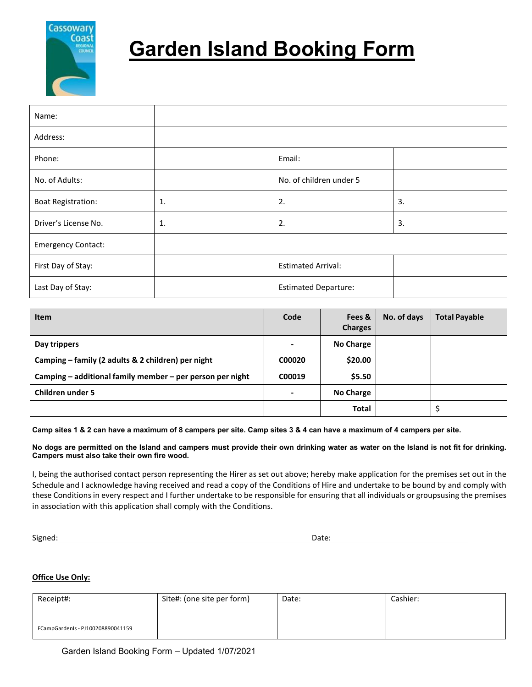

# **Garden Island Booking Form**

| Name:                     |                |                             |    |
|---------------------------|----------------|-----------------------------|----|
| Address:                  |                |                             |    |
| Phone:                    |                | Email:                      |    |
| No. of Adults:            |                | No. of children under 5     |    |
| <b>Boat Registration:</b> | 1.             | 2.                          | 3. |
| Driver's License No.      | $\mathbf{1}$ . | 2.                          | 3. |
| <b>Emergency Contact:</b> |                |                             |    |
| First Day of Stay:        |                | <b>Estimated Arrival:</b>   |    |
| Last Day of Stay:         |                | <b>Estimated Departure:</b> |    |

| <b>Item</b>                                               | Code   | Fees &<br><b>Charges</b> | No. of days | <b>Total Payable</b> |
|-----------------------------------------------------------|--------|--------------------------|-------------|----------------------|
| Day trippers                                              |        | No Charge                |             |                      |
| Camping - family (2 adults & 2 children) per night        | C00020 | \$20.00                  |             |                      |
| Camping - additional family member - per person per night | C00019 | \$5.50                   |             |                      |
| <b>Children under 5</b>                                   | ۰      | No Charge                |             |                      |
|                                                           |        | <b>Total</b>             |             | \$                   |

**Camp sites 1 & 2 can have a maximum of 8 campers per site. Camp sites 3 & 4 can have a maximum of 4 campers per site.**

**No dogs are permitted on the Island and campers must provide their own drinking water as water on the Island is not fit for drinking. Campers must also take their own fire wood.**

I, being the authorised contact person representing the Hirer as set out above; hereby make application for the premises set out in the Schedule and I acknowledge having received and read a copy of the Conditions of Hire and undertake to be bound by and comply with these Conditions in every respect and I further undertake to be responsible for ensuring that all individuals or groupsusing the premises in association with this application shall comply with the Conditions.

Signed: Date:

### **Office Use Only:**

| Receipt#:                         | Site#: (one site per form) | Date: | Cashier: |
|-----------------------------------|----------------------------|-------|----------|
|                                   |                            |       |          |
| FCampGardenIs - PJ100208890041159 |                            |       |          |